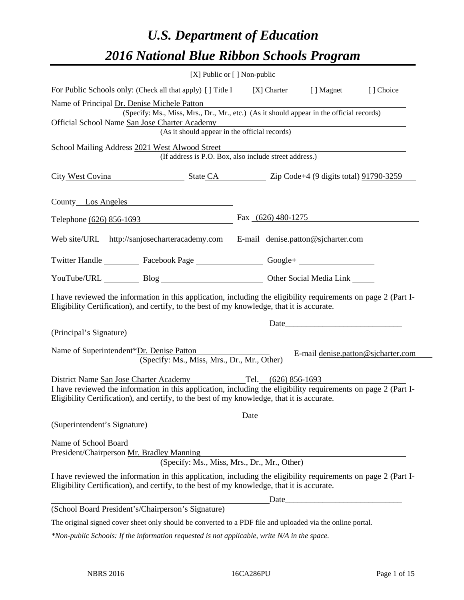# *U.S. Department of Education 2016 National Blue Ribbon Schools Program*

|                                                                                                                                                                                                                                                                            | [X] Public or [] Non-public                                                                                                                                  |            |                                    |
|----------------------------------------------------------------------------------------------------------------------------------------------------------------------------------------------------------------------------------------------------------------------------|--------------------------------------------------------------------------------------------------------------------------------------------------------------|------------|------------------------------------|
| For Public Schools only: (Check all that apply) [] Title I [X] Charter                                                                                                                                                                                                     |                                                                                                                                                              | [ ] Magnet | [] Choice                          |
| Name of Principal Dr. Denise Michele Patton<br>Official School Name San Jose Charter Academy                                                                                                                                                                               | (Specify: Ms., Miss, Mrs., Dr., Mr., etc.) (As it should appear in the official records)<br>Charter Academy<br>(As it should appear in the official records) |            |                                    |
| School Mailing Address 2021 West Alwood Street                                                                                                                                                                                                                             | (If address is P.O. Box, also include street address.)                                                                                                       |            |                                    |
| City West Covina State CA Zip Code+4 (9 digits total) 91790-3259                                                                                                                                                                                                           |                                                                                                                                                              |            |                                    |
| County Los Angeles                                                                                                                                                                                                                                                         |                                                                                                                                                              |            |                                    |
| Telephone (626) 856-1693 Fax (626) 480-1275                                                                                                                                                                                                                                |                                                                                                                                                              |            |                                    |
| Web site/URL_http://sanjosecharteracademy.com E-mail_denise.patton@sjcharter.com                                                                                                                                                                                           |                                                                                                                                                              |            |                                    |
| Twitter Handle ____________ Facebook Page _____________________ Google+ ___________________________                                                                                                                                                                        |                                                                                                                                                              |            |                                    |
| YouTube/URL Blog Blog Cher Social Media Link                                                                                                                                                                                                                               |                                                                                                                                                              |            |                                    |
| I have reviewed the information in this application, including the eligibility requirements on page 2 (Part I-<br>Eligibility Certification), and certify, to the best of my knowledge, that it is accurate.                                                               |                                                                                                                                                              |            |                                    |
| (Principal's Signature)                                                                                                                                                                                                                                                    |                                                                                                                                                              |            |                                    |
| Name of Superintendent*Dr. Denise Patton                                                                                                                                                                                                                                   | (Specify: Ms., Miss, Mrs., Dr., Mr., Other)                                                                                                                  |            | E-mail denise.patton@sjcharter.com |
| District Name San Jose Charter Academy Tel. (626) 856-1693<br>I have reviewed the information in this application, including the eligibility requirements on page 2 (Part I-<br>Eligibility Certification), and certify, to the best of my knowledge, that it is accurate. |                                                                                                                                                              |            |                                    |
| (Superintendent's Signature)                                                                                                                                                                                                                                               |                                                                                                                                                              | Date       |                                    |
| Name of School Board<br>President/Chairperson Mr. Bradley Manning                                                                                                                                                                                                          | (Specify: Ms., Miss, Mrs., Dr., Mr., Other)                                                                                                                  |            |                                    |
| I have reviewed the information in this application, including the eligibility requirements on page 2 (Part I-<br>Eligibility Certification), and certify, to the best of my knowledge, that it is accurate.                                                               |                                                                                                                                                              |            |                                    |
|                                                                                                                                                                                                                                                                            |                                                                                                                                                              | Date       |                                    |
| (School Board President's/Chairperson's Signature)                                                                                                                                                                                                                         |                                                                                                                                                              |            |                                    |
| The original signed cover sheet only should be converted to a PDF file and uploaded via the online portal.                                                                                                                                                                 |                                                                                                                                                              |            |                                    |

*\*Non-public Schools: If the information requested is not applicable, write N/A in the space.*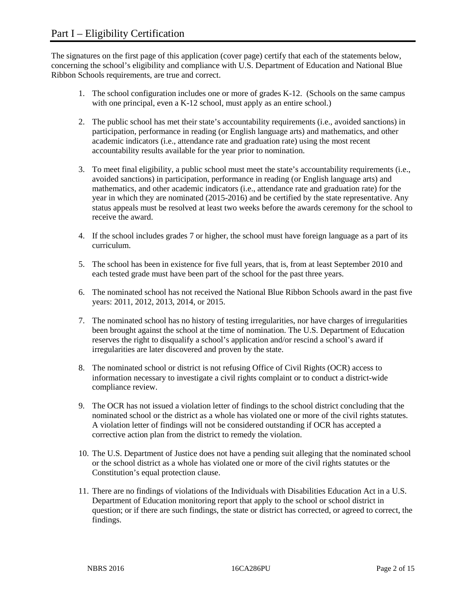The signatures on the first page of this application (cover page) certify that each of the statements below, concerning the school's eligibility and compliance with U.S. Department of Education and National Blue Ribbon Schools requirements, are true and correct.

- 1. The school configuration includes one or more of grades K-12. (Schools on the same campus with one principal, even a K-12 school, must apply as an entire school.)
- 2. The public school has met their state's accountability requirements (i.e., avoided sanctions) in participation, performance in reading (or English language arts) and mathematics, and other academic indicators (i.e., attendance rate and graduation rate) using the most recent accountability results available for the year prior to nomination.
- 3. To meet final eligibility, a public school must meet the state's accountability requirements (i.e., avoided sanctions) in participation, performance in reading (or English language arts) and mathematics, and other academic indicators (i.e., attendance rate and graduation rate) for the year in which they are nominated (2015-2016) and be certified by the state representative. Any status appeals must be resolved at least two weeks before the awards ceremony for the school to receive the award.
- 4. If the school includes grades 7 or higher, the school must have foreign language as a part of its curriculum.
- 5. The school has been in existence for five full years, that is, from at least September 2010 and each tested grade must have been part of the school for the past three years.
- 6. The nominated school has not received the National Blue Ribbon Schools award in the past five years: 2011, 2012, 2013, 2014, or 2015.
- 7. The nominated school has no history of testing irregularities, nor have charges of irregularities been brought against the school at the time of nomination. The U.S. Department of Education reserves the right to disqualify a school's application and/or rescind a school's award if irregularities are later discovered and proven by the state.
- 8. The nominated school or district is not refusing Office of Civil Rights (OCR) access to information necessary to investigate a civil rights complaint or to conduct a district-wide compliance review.
- 9. The OCR has not issued a violation letter of findings to the school district concluding that the nominated school or the district as a whole has violated one or more of the civil rights statutes. A violation letter of findings will not be considered outstanding if OCR has accepted a corrective action plan from the district to remedy the violation.
- 10. The U.S. Department of Justice does not have a pending suit alleging that the nominated school or the school district as a whole has violated one or more of the civil rights statutes or the Constitution's equal protection clause.
- 11. There are no findings of violations of the Individuals with Disabilities Education Act in a U.S. Department of Education monitoring report that apply to the school or school district in question; or if there are such findings, the state or district has corrected, or agreed to correct, the findings.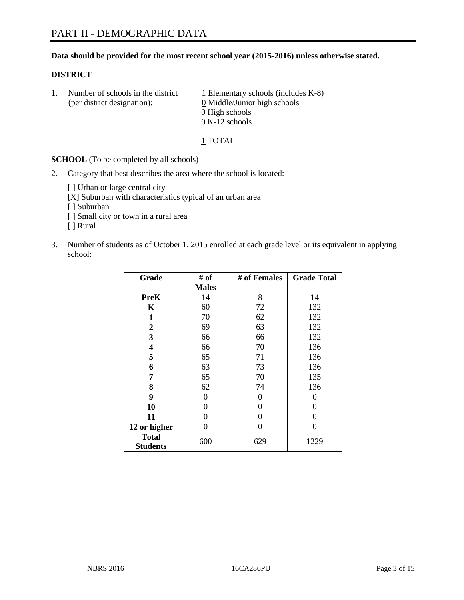#### **Data should be provided for the most recent school year (2015-2016) unless otherwise stated.**

#### **DISTRICT**

1. Number of schools in the district  $1$  Elementary schools (includes K-8) (per district designation): 0 Middle/Junior high schools 0 High schools 0 K-12 schools

#### 1 TOTAL

**SCHOOL** (To be completed by all schools)

2. Category that best describes the area where the school is located:

[] Urban or large central city [X] Suburban with characteristics typical of an urban area [ ] Suburban [ ] Small city or town in a rural area [ ] Rural

3. Number of students as of October 1, 2015 enrolled at each grade level or its equivalent in applying school:

| Grade                           | # of         | # of Females | <b>Grade Total</b> |
|---------------------------------|--------------|--------------|--------------------|
|                                 | <b>Males</b> |              |                    |
| <b>PreK</b>                     | 14           | 8            | 14                 |
| K                               | 60           | 72           | 132                |
| $\mathbf{1}$                    | 70           | 62           | 132                |
| $\overline{2}$                  | 69           | 63           | 132                |
| 3                               | 66           | 66           | 132                |
| 4                               | 66           | 70           | 136                |
| 5                               | 65           | 71           | 136                |
| 6                               | 63           | 73           | 136                |
| 7                               | 65           | 70           | 135                |
| 8                               | 62           | 74           | 136                |
| 9                               | 0            | 0            | 0                  |
| 10                              | 0            | $\theta$     | 0                  |
| 11                              | $\theta$     | 0            | 0                  |
| 12 or higher                    | 0            | 0            | 0                  |
| <b>Total</b><br><b>Students</b> | 600          | 629          | 1229               |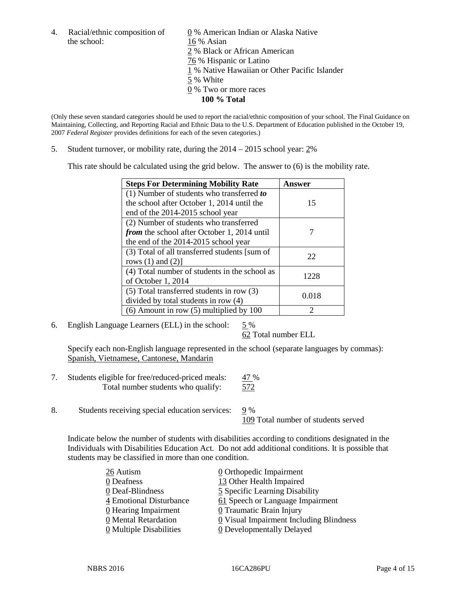the school: 16 % Asian

4. Racial/ethnic composition of  $\qquad \qquad \underline{0}$  % American Indian or Alaska Native 2 % Black or African American 76 % Hispanic or Latino 1 % Native Hawaiian or Other Pacific Islander 5 % White 0 % Two or more races **100 % Total**

(Only these seven standard categories should be used to report the racial/ethnic composition of your school. The Final Guidance on Maintaining, Collecting, and Reporting Racial and Ethnic Data to the U.S. Department of Education published in the October 19, 2007 *Federal Register* provides definitions for each of the seven categories.)

5. Student turnover, or mobility rate, during the 2014 – 2015 school year: 2%

This rate should be calculated using the grid below. The answer to (6) is the mobility rate.

| <b>Steps For Determining Mobility Rate</b>         | Answer |  |
|----------------------------------------------------|--------|--|
| (1) Number of students who transferred to          |        |  |
| the school after October 1, 2014 until the         | 15     |  |
| end of the 2014-2015 school year                   |        |  |
| (2) Number of students who transferred             |        |  |
| <i>from</i> the school after October 1, 2014 until |        |  |
| the end of the 2014-2015 school year               |        |  |
| (3) Total of all transferred students [sum of      | 22     |  |
| rows $(1)$ and $(2)$ ]                             |        |  |
| (4) Total number of students in the school as      | 1228   |  |
| of October 1, 2014                                 |        |  |
| (5) Total transferred students in row (3)          | 0.018  |  |
| divided by total students in row (4)               |        |  |
| $(6)$ Amount in row $(5)$ multiplied by 100        | ာ      |  |

6. English Language Learners (ELL) in the school:  $5\%$ 

62 Total number ELL

Specify each non-English language represented in the school (separate languages by commas): Spanish, Vietnamese, Cantonese, Mandarin

- 7. Students eligible for free/reduced-priced meals: 47 % Total number students who qualify: 572
- 8. Students receiving special education services: 9 %

109 Total number of students served

Indicate below the number of students with disabilities according to conditions designated in the Individuals with Disabilities Education Act. Do not add additional conditions. It is possible that students may be classified in more than one condition.

| 26 Autism                             | 0 Orthopedic Impairment                 |
|---------------------------------------|-----------------------------------------|
| 0 Deafness                            | 13 Other Health Impaired                |
| 0 Deaf-Blindness                      | 5 Specific Learning Disability          |
| 4 Emotional Disturbance               | 61 Speech or Language Impairment        |
| 0 Hearing Impairment                  | 0 Traumatic Brain Injury                |
| 0 Mental Retardation                  | 0 Visual Impairment Including Blindness |
| $\underline{0}$ Multiple Disabilities | <b>0</b> Developmentally Delayed        |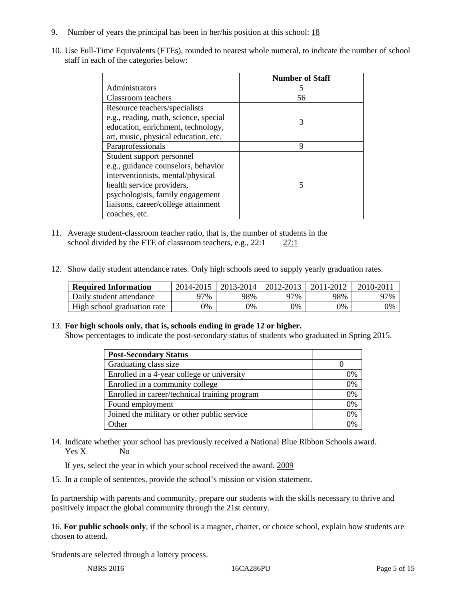- 9. Number of years the principal has been in her/his position at this school: 18
- 10. Use Full-Time Equivalents (FTEs), rounded to nearest whole numeral, to indicate the number of school staff in each of the categories below:

|                                       | <b>Number of Staff</b> |
|---------------------------------------|------------------------|
| Administrators                        |                        |
| Classroom teachers                    | 56                     |
| Resource teachers/specialists         |                        |
| e.g., reading, math, science, special | 3                      |
| education, enrichment, technology,    |                        |
| art, music, physical education, etc.  |                        |
| Paraprofessionals                     | 9                      |
| Student support personnel             |                        |
| e.g., guidance counselors, behavior   |                        |
| interventionists, mental/physical     |                        |
| health service providers,             | 5                      |
| psychologists, family engagement      |                        |
| liaisons, career/college attainment   |                        |
| coaches, etc.                         |                        |

- 11. Average student-classroom teacher ratio, that is, the number of students in the school divided by the FTE of classroom teachers, e.g., 22:1 27:1
- 12. Show daily student attendance rates. Only high schools need to supply yearly graduation rates.

| <b>Required Information</b> | 2014-2015 | $2013 - 2014$ | 2012-2013 | 2011-2012 | 2010-2011 |
|-----------------------------|-----------|---------------|-----------|-----------|-----------|
| Daily student attendance    | ን7%       | 98%           | 97%       | 98%       | 97%       |
| High school graduation rate | 9%        | $9\%$         | 9%        | 9%        | 0%        |

#### 13. **For high schools only, that is, schools ending in grade 12 or higher.**

Show percentages to indicate the post-secondary status of students who graduated in Spring 2015.

| <b>Post-Secondary Status</b>                  |          |
|-----------------------------------------------|----------|
| Graduating class size                         |          |
| Enrolled in a 4-year college or university    | 0%       |
| Enrolled in a community college               | 0%       |
| Enrolled in career/technical training program | 0%       |
| Found employment                              | 0%       |
| Joined the military or other public service   | 0%       |
| Other                                         | $\gamma$ |

14. Indicate whether your school has previously received a National Blue Ribbon Schools award. Yes X No

If yes, select the year in which your school received the award. 2009

15. In a couple of sentences, provide the school's mission or vision statement.

In partnership with parents and community, prepare our students with the skills necessary to thrive and positively impact the global community through the 21st century.

16. **For public schools only**, if the school is a magnet, charter, or choice school, explain how students are chosen to attend.

Students are selected through a lottery process.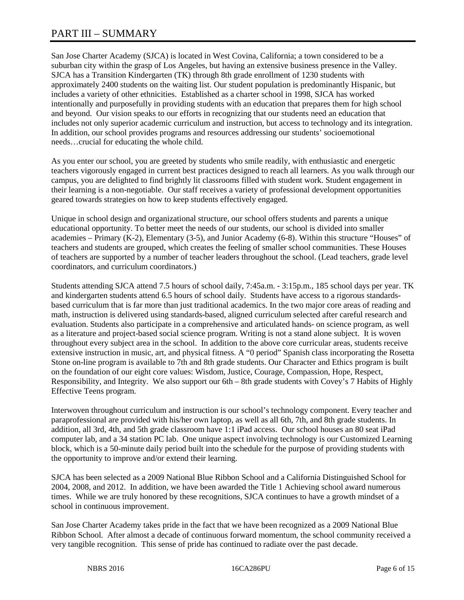# PART III – SUMMARY

San Jose Charter Academy (SJCA) is located in West Covina, California; a town considered to be a suburban city within the grasp of Los Angeles, but having an extensive business presence in the Valley. SJCA has a Transition Kindergarten (TK) through 8th grade enrollment of 1230 students with approximately 2400 students on the waiting list. Our student population is predominantly Hispanic, but includes a variety of other ethnicities. Established as a charter school in 1998, SJCA has worked intentionally and purposefully in providing students with an education that prepares them for high school and beyond. Our vision speaks to our efforts in recognizing that our students need an education that includes not only superior academic curriculum and instruction, but access to technology and its integration. In addition, our school provides programs and resources addressing our students' socioemotional needs…crucial for educating the whole child.

As you enter our school, you are greeted by students who smile readily, with enthusiastic and energetic teachers vigorously engaged in current best practices designed to reach all learners. As you walk through our campus, you are delighted to find brightly lit classrooms filled with student work. Student engagement in their learning is a non-negotiable. Our staff receives a variety of professional development opportunities geared towards strategies on how to keep students effectively engaged.

Unique in school design and organizational structure, our school offers students and parents a unique educational opportunity. To better meet the needs of our students, our school is divided into smaller academies – Primary (K-2), Elementary (3-5), and Junior Academy (6-8). Within this structure "Houses" of teachers and students are grouped, which creates the feeling of smaller school communities. These Houses of teachers are supported by a number of teacher leaders throughout the school. (Lead teachers, grade level coordinators, and curriculum coordinators.)

Students attending SJCA attend 7.5 hours of school daily, 7:45a.m. - 3:15p.m., 185 school days per year. TK and kindergarten students attend 6.5 hours of school daily. Students have access to a rigorous standardsbased curriculum that is far more than just traditional academics. In the two major core areas of reading and math, instruction is delivered using standards-based, aligned curriculum selected after careful research and evaluation. Students also participate in a comprehensive and articulated hands- on science program, as well as a literature and project-based social science program. Writing is not a stand alone subject. It is woven throughout every subject area in the school. In addition to the above core curricular areas, students receive extensive instruction in music, art, and physical fitness. A "0 period" Spanish class incorporating the Rosetta Stone on-line program is available to 7th and 8th grade students. Our Character and Ethics program is built on the foundation of our eight core values: Wisdom, Justice, Courage, Compassion, Hope, Respect, Responsibility, and Integrity. We also support our 6th – 8th grade students with Covey's 7 Habits of Highly Effective Teens program.

Interwoven throughout curriculum and instruction is our school's technology component. Every teacher and paraprofessional are provided with his/her own laptop, as well as all 6th, 7th, and 8th grade students. In addition, all 3rd, 4th, and 5th grade classroom have 1:1 iPad access. Our school houses an 80 seat iPad computer lab, and a 34 station PC lab. One unique aspect involving technology is our Customized Learning block, which is a 50-minute daily period built into the schedule for the purpose of providing students with the opportunity to improve and/or extend their learning.

SJCA has been selected as a 2009 National Blue Ribbon School and a California Distinguished School for 2004, 2008, and 2012. In addition, we have been awarded the Title 1 Achieving school award numerous times. While we are truly honored by these recognitions, SJCA continues to have a growth mindset of a school in continuous improvement.

San Jose Charter Academy takes pride in the fact that we have been recognized as a 2009 National Blue Ribbon School. After almost a decade of continuous forward momentum, the school community received a very tangible recognition. This sense of pride has continued to radiate over the past decade.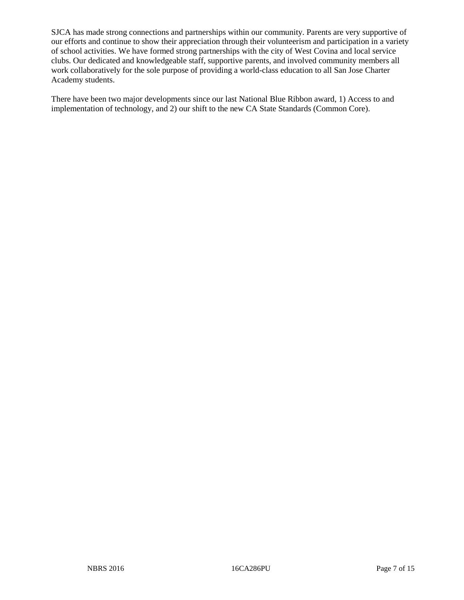SJCA has made strong connections and partnerships within our community. Parents are very supportive of our efforts and continue to show their appreciation through their volunteerism and participation in a variety of school activities. We have formed strong partnerships with the city of West Covina and local service clubs. Our dedicated and knowledgeable staff, supportive parents, and involved community members all work collaboratively for the sole purpose of providing a world-class education to all San Jose Charter Academy students.

There have been two major developments since our last National Blue Ribbon award, 1) Access to and implementation of technology, and 2) our shift to the new CA State Standards (Common Core).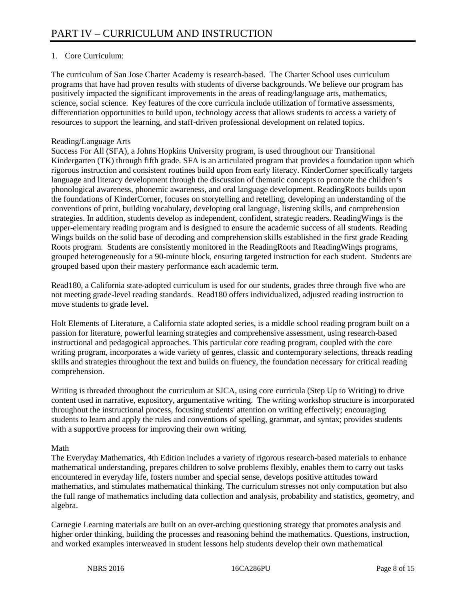# 1. Core Curriculum:

The curriculum of San Jose Charter Academy is research-based. The Charter School uses curriculum programs that have had proven results with students of diverse backgrounds. We believe our program has positively impacted the significant improvements in the areas of reading/language arts, mathematics, science, social science. Key features of the core curricula include utilization of formative assessments, differentiation opportunities to build upon, technology access that allows students to access a variety of resources to support the learning, and staff-driven professional development on related topics.

## Reading/Language Arts

Success For All (SFA), a Johns Hopkins University program, is used throughout our Transitional Kindergarten (TK) through fifth grade. SFA is an articulated program that provides a foundation upon which rigorous instruction and consistent routines build upon from early literacy. KinderCorner specifically targets language and literacy development through the discussion of thematic concepts to promote the children's phonological awareness, phonemic awareness, and oral language development. ReadingRoots builds upon the foundations of KinderCorner, focuses on storytelling and retelling, developing an understanding of the conventions of print, building vocabulary, developing oral language, listening skills, and comprehension strategies. In addition, students develop as independent, confident, strategic readers. ReadingWings is the upper-elementary reading program and is designed to ensure the academic success of all students. Reading Wings builds on the solid base of decoding and comprehension skills established in the first grade Reading Roots program. Students are consistently monitored in the ReadingRoots and ReadingWings programs, grouped heterogeneously for a 90-minute block, ensuring targeted instruction for each student. Students are grouped based upon their mastery performance each academic term.

Read180, a California state-adopted curriculum is used for our students, grades three through five who are not meeting grade-level reading standards. Read180 offers individualized, adjusted reading instruction to move students to grade level.

Holt Elements of Literature, a California state adopted series, is a middle school reading program built on a passion for literature, powerful learning strategies and comprehensive assessment, using research-based instructional and pedagogical approaches. This particular core reading program, coupled with the core writing program, incorporates a wide variety of genres, classic and contemporary selections, threads reading skills and strategies throughout the text and builds on fluency, the foundation necessary for critical reading comprehension.

Writing is threaded throughout the curriculum at SJCA, using core curricula (Step Up to Writing) to drive content used in narrative, expository, argumentative writing. The writing workshop structure is incorporated throughout the instructional process, focusing students' attention on writing effectively; encouraging students to learn and apply the rules and conventions of spelling, grammar, and syntax; provides students with a supportive process for improving their own writing.

#### Math

The Everyday Mathematics, 4th Edition includes a variety of rigorous research-based materials to enhance mathematical understanding, prepares children to solve problems flexibly, enables them to carry out tasks encountered in everyday life, fosters number and special sense, develops positive attitudes toward mathematics, and stimulates mathematical thinking. The curriculum stresses not only computation but also the full range of mathematics including data collection and analysis, probability and statistics, geometry, and algebra.

Carnegie Learning materials are built on an over-arching questioning strategy that promotes analysis and higher order thinking, building the processes and reasoning behind the mathematics. Questions, instruction, and worked examples interweaved in student lessons help students develop their own mathematical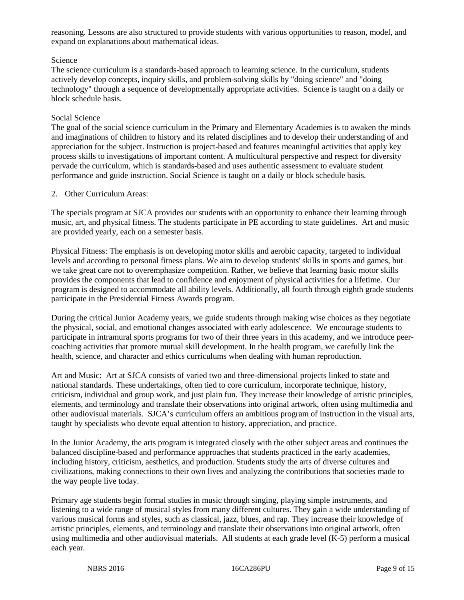reasoning. Lessons are also structured to provide students with various opportunities to reason, model, and expand on explanations about mathematical ideas.

## Science

The science curriculum is a standards-based approach to learning science. In the curriculum, students actively develop concepts, inquiry skills, and problem-solving skills by "doing science" and "doing technology" through a sequence of developmentally appropriate activities. Science is taught on a daily or block schedule basis.

#### Social Science

The goal of the social science curriculum in the Primary and Elementary Academies is to awaken the minds and imaginations of children to history and its related disciplines and to develop their understanding of and appreciation for the subject. Instruction is project-based and features meaningful activities that apply key process skills to investigations of important content. A multicultural perspective and respect for diversity pervade the curriculum, which is standards-based and uses authentic assessment to evaluate student performance and guide instruction. Social Science is taught on a daily or block schedule basis.

## 2. Other Curriculum Areas:

The specials program at SJCA provides our students with an opportunity to enhance their learning through music, art, and physical fitness. The students participate in PE according to state guidelines. Art and music are provided yearly, each on a semester basis.

Physical Fitness: The emphasis is on developing motor skills and aerobic capacity, targeted to individual levels and according to personal fitness plans. We aim to develop students' skills in sports and games, but we take great care not to overemphasize competition. Rather, we believe that learning basic motor skills provides the components that lead to confidence and enjoyment of physical activities for a lifetime. Our program is designed to accommodate all ability levels. Additionally, all fourth through eighth grade students participate in the Presidential Fitness Awards program.

During the critical Junior Academy years, we guide students through making wise choices as they negotiate the physical, social, and emotional changes associated with early adolescence. We encourage students to participate in intramural sports programs for two of their three years in this academy, and we introduce peercoaching activities that promote mutual skill development. In the health program, we carefully link the health, science, and character and ethics curriculums when dealing with human reproduction.

Art and Music: Art at SJCA consists of varied two and three-dimensional projects linked to state and national standards. These undertakings, often tied to core curriculum, incorporate technique, history, criticism, individual and group work, and just plain fun. They increase their knowledge of artistic principles, elements, and terminology and translate their observations into original artwork, often using multimedia and other audiovisual materials. SJCA's curriculum offers an ambitious program of instruction in the visual arts, taught by specialists who devote equal attention to history, appreciation, and practice.

In the Junior Academy, the arts program is integrated closely with the other subject areas and continues the balanced discipline-based and performance approaches that students practiced in the early academies, including history, criticism, aesthetics, and production. Students study the arts of diverse cultures and civilizations, making connections to their own lives and analyzing the contributions that societies made to the way people live today.

Primary age students begin formal studies in music through singing, playing simple instruments, and listening to a wide range of musical styles from many different cultures. They gain a wide understanding of various musical forms and styles, such as classical, jazz, blues, and rap. They increase their knowledge of artistic principles, elements, and terminology and translate their observations into original artwork, often using multimedia and other audiovisual materials. All students at each grade level (K-5) perform a musical each year.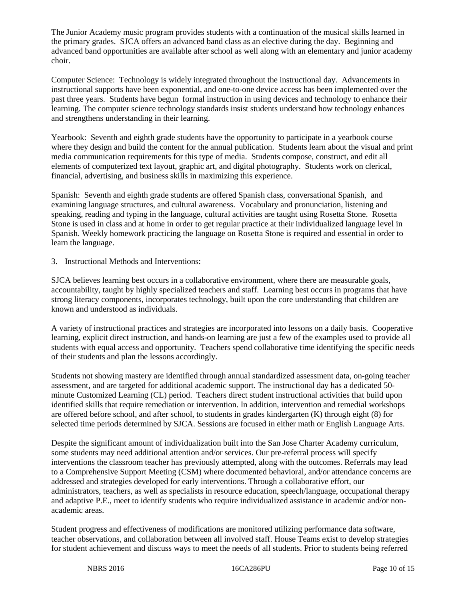The Junior Academy music program provides students with a continuation of the musical skills learned in the primary grades. SJCA offers an advanced band class as an elective during the day. Beginning and advanced band opportunities are available after school as well along with an elementary and junior academy choir.

Computer Science: Technology is widely integrated throughout the instructional day. Advancements in instructional supports have been exponential, and one-to-one device access has been implemented over the past three years. Students have begun formal instruction in using devices and technology to enhance their learning. The computer science technology standards insist students understand how technology enhances and strengthens understanding in their learning.

Yearbook: Seventh and eighth grade students have the opportunity to participate in a yearbook course where they design and build the content for the annual publication. Students learn about the visual and print media communication requirements for this type of media. Students compose, construct, and edit all elements of computerized text layout, graphic art, and digital photography. Students work on clerical, financial, advertising, and business skills in maximizing this experience.

Spanish: Seventh and eighth grade students are offered Spanish class, conversational Spanish, and examining language structures, and cultural awareness. Vocabulary and pronunciation, listening and speaking, reading and typing in the language, cultural activities are taught using Rosetta Stone. Rosetta Stone is used in class and at home in order to get regular practice at their individualized language level in Spanish. Weekly homework practicing the language on Rosetta Stone is required and essential in order to learn the language.

3. Instructional Methods and Interventions:

SJCA believes learning best occurs in a collaborative environment, where there are measurable goals, accountability, taught by highly specialized teachers and staff. Learning best occurs in programs that have strong literacy components, incorporates technology, built upon the core understanding that children are known and understood as individuals.

A variety of instructional practices and strategies are incorporated into lessons on a daily basis. Cooperative learning, explicit direct instruction, and hands-on learning are just a few of the examples used to provide all students with equal access and opportunity. Teachers spend collaborative time identifying the specific needs of their students and plan the lessons accordingly.

Students not showing mastery are identified through annual standardized assessment data, on-going teacher assessment, and are targeted for additional academic support. The instructional day has a dedicated 50 minute Customized Learning (CL) period. Teachers direct student instructional activities that build upon identified skills that require remediation or intervention. In addition, intervention and remedial workshops are offered before school, and after school, to students in grades kindergarten (K) through eight (8) for selected time periods determined by SJCA. Sessions are focused in either math or English Language Arts.

Despite the significant amount of individualization built into the San Jose Charter Academy curriculum, some students may need additional attention and/or services. Our pre-referral process will specify interventions the classroom teacher has previously attempted, along with the outcomes. Referrals may lead to a Comprehensive Support Meeting (CSM) where documented behavioral, and/or attendance concerns are addressed and strategies developed for early interventions. Through a collaborative effort, our administrators, teachers, as well as specialists in resource education, speech/language, occupational therapy and adaptive P.E., meet to identify students who require individualized assistance in academic and/or nonacademic areas.

Student progress and effectiveness of modifications are monitored utilizing performance data software, teacher observations, and collaboration between all involved staff. House Teams exist to develop strategies for student achievement and discuss ways to meet the needs of all students. Prior to students being referred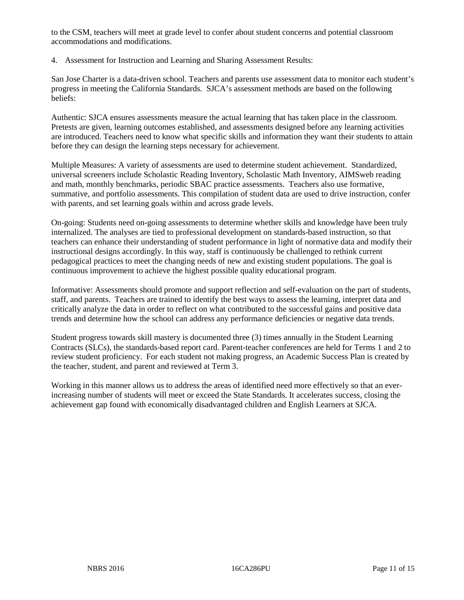to the CSM, teachers will meet at grade level to confer about student concerns and potential classroom accommodations and modifications.

4. Assessment for Instruction and Learning and Sharing Assessment Results:

San Jose Charter is a data-driven school. Teachers and parents use assessment data to monitor each student's progress in meeting the California Standards. SJCA's assessment methods are based on the following beliefs:

Authentic: SJCA ensures assessments measure the actual learning that has taken place in the classroom. Pretests are given, learning outcomes established, and assessments designed before any learning activities are introduced. Teachers need to know what specific skills and information they want their students to attain before they can design the learning steps necessary for achievement.

Multiple Measures: A variety of assessments are used to determine student achievement. Standardized, universal screeners include Scholastic Reading Inventory, Scholastic Math Inventory, AIMSweb reading and math, monthly benchmarks, periodic SBAC practice assessments. Teachers also use formative, summative, and portfolio assessments. This compilation of student data are used to drive instruction, confer with parents, and set learning goals within and across grade levels.

On-going: Students need on-going assessments to determine whether skills and knowledge have been truly internalized. The analyses are tied to professional development on standards-based instruction, so that teachers can enhance their understanding of student performance in light of normative data and modify their instructional designs accordingly. In this way, staff is continuously be challenged to rethink current pedagogical practices to meet the changing needs of new and existing student populations. The goal is continuous improvement to achieve the highest possible quality educational program.

Informative: Assessments should promote and support reflection and self-evaluation on the part of students, staff, and parents. Teachers are trained to identify the best ways to assess the learning, interpret data and critically analyze the data in order to reflect on what contributed to the successful gains and positive data trends and determine how the school can address any performance deficiencies or negative data trends.

Student progress towards skill mastery is documented three (3) times annually in the Student Learning Contracts (SLCs), the standards-based report card. Parent-teacher conferences are held for Terms 1 and 2 to review student proficiency. For each student not making progress, an Academic Success Plan is created by the teacher, student, and parent and reviewed at Term 3.

Working in this manner allows us to address the areas of identified need more effectively so that an everincreasing number of students will meet or exceed the State Standards. It accelerates success, closing the achievement gap found with economically disadvantaged children and English Learners at SJCA.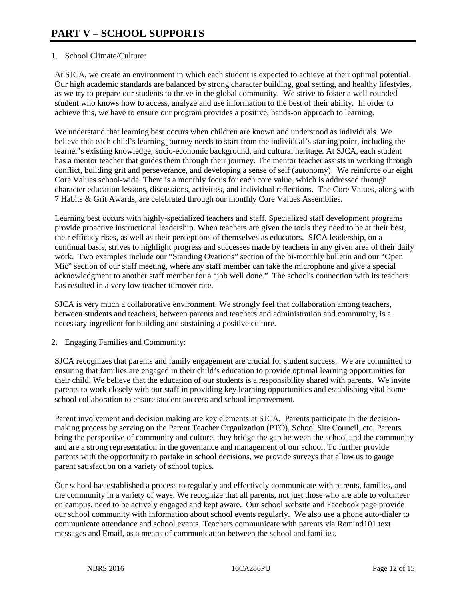# 1. School Climate/Culture:

At SJCA, we create an environment in which each student is expected to achieve at their optimal potential. Our high academic standards are balanced by strong character building, goal setting, and healthy lifestyles, as we try to prepare our students to thrive in the global community. We strive to foster a well-rounded student who knows how to access, analyze and use information to the best of their ability. In order to achieve this, we have to ensure our program provides a positive, hands-on approach to learning.

We understand that learning best occurs when children are known and understood as individuals. We believe that each child's learning journey needs to start from the individual's starting point, including the learner's existing knowledge, socio-economic background, and cultural heritage. At SJCA, each student has a mentor teacher that guides them through their journey. The mentor teacher assists in working through conflict, building grit and perseverance, and developing a sense of self (autonomy). We reinforce our eight Core Values school-wide. There is a monthly focus for each core value, which is addressed through character education lessons, discussions, activities, and individual reflections. The Core Values, along with 7 Habits & Grit Awards, are celebrated through our monthly Core Values Assemblies.

Learning best occurs with highly-specialized teachers and staff. Specialized staff development programs provide proactive instructional leadership. When teachers are given the tools they need to be at their best, their efficacy rises, as well as their perceptions of themselves as educators. SJCA leadership, on a continual basis, strives to highlight progress and successes made by teachers in any given area of their daily work. Two examples include our "Standing Ovations" section of the bi-monthly bulletin and our "Open Mic" section of our staff meeting, where any staff member can take the microphone and give a special acknowledgment to another staff member for a "job well done." The school's connection with its teachers has resulted in a very low teacher turnover rate.

SJCA is very much a collaborative environment. We strongly feel that collaboration among teachers, between students and teachers, between parents and teachers and administration and community, is a necessary ingredient for building and sustaining a positive culture.

2. Engaging Families and Community:

SJCA recognizes that parents and family engagement are crucial for student success. We are committed to ensuring that families are engaged in their child's education to provide optimal learning opportunities for their child. We believe that the education of our students is a responsibility shared with parents. We invite parents to work closely with our staff in providing key learning opportunities and establishing vital homeschool collaboration to ensure student success and school improvement.

Parent involvement and decision making are key elements at SJCA. Parents participate in the decisionmaking process by serving on the Parent Teacher Organization (PTO), School Site Council, etc. Parents bring the perspective of community and culture, they bridge the gap between the school and the community and are a strong representation in the governance and management of our school. To further provide parents with the opportunity to partake in school decisions, we provide surveys that allow us to gauge parent satisfaction on a variety of school topics.

Our school has established a process to regularly and effectively communicate with parents, families, and the community in a variety of ways. We recognize that all parents, not just those who are able to volunteer on campus, need to be actively engaged and kept aware. Our school website and Facebook page provide our school community with information about school events regularly. We also use a phone auto-dialer to communicate attendance and school events. Teachers communicate with parents via Remind101 text messages and Email, as a means of communication between the school and families.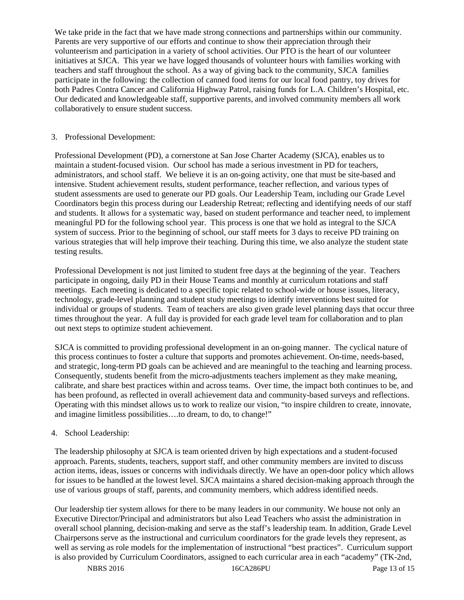We take pride in the fact that we have made strong connections and partnerships within our community. Parents are very supportive of our efforts and continue to show their appreciation through their volunteerism and participation in a variety of school activities. Our PTO is the heart of our volunteer initiatives at SJCA. This year we have logged thousands of volunteer hours with families working with teachers and staff throughout the school. As a way of giving back to the community, SJCA families participate in the following: the collection of canned food items for our local food pantry, toy drives for both Padres Contra Cancer and California Highway Patrol, raising funds for L.A. Children's Hospital, etc. Our dedicated and knowledgeable staff, supportive parents, and involved community members all work collaboratively to ensure student success.

#### 3. Professional Development:

Professional Development (PD), a cornerstone at San Jose Charter Academy (SJCA), enables us to maintain a student-focused vision. Our school has made a serious investment in PD for teachers, administrators, and school staff. We believe it is an on-going activity, one that must be site-based and intensive. Student achievement results, student performance, teacher reflection, and various types of student assessments are used to generate our PD goals. Our Leadership Team, including our Grade Level Coordinators begin this process during our Leadership Retreat; reflecting and identifying needs of our staff and students. It allows for a systematic way, based on student performance and teacher need, to implement meaningful PD for the following school year. This process is one that we hold as integral to the SJCA system of success. Prior to the beginning of school, our staff meets for 3 days to receive PD training on various strategies that will help improve their teaching. During this time, we also analyze the student state testing results.

Professional Development is not just limited to student free days at the beginning of the year. Teachers participate in ongoing, daily PD in their House Teams and monthly at curriculum rotations and staff meetings. Each meeting is dedicated to a specific topic related to school-wide or house issues, literacy, technology, grade-level planning and student study meetings to identify interventions best suited for individual or groups of students. Team of teachers are also given grade level planning days that occur three times throughout the year. A full day is provided for each grade level team for collaboration and to plan out next steps to optimize student achievement.

SJCA is committed to providing professional development in an on-going manner. The cyclical nature of this process continues to foster a culture that supports and promotes achievement. On-time, needs-based, and strategic, long-term PD goals can be achieved and are meaningful to the teaching and learning process. Consequently, students benefit from the micro-adjustments teachers implement as they make meaning, calibrate, and share best practices within and across teams. Over time, the impact both continues to be, and has been profound, as reflected in overall achievement data and community-based surveys and reflections. Operating with this mindset allows us to work to realize our vision, "to inspire children to create, innovate, and imagine limitless possibilities….to dream, to do, to change!"

#### 4. School Leadership:

The leadership philosophy at SJCA is team oriented driven by high expectations and a student-focused approach. Parents, students, teachers, support staff, and other community members are invited to discuss action items, ideas, issues or concerns with individuals directly. We have an open-door policy which allows for issues to be handled at the lowest level. SJCA maintains a shared decision-making approach through the use of various groups of staff, parents, and community members, which address identified needs.

Our leadership tier system allows for there to be many leaders in our community. We house not only an Executive Director/Principal and administrators but also Lead Teachers who assist the administration in overall school planning, decision-making and serve as the staff's leadership team. In addition, Grade Level Chairpersons serve as the instructional and curriculum coordinators for the grade levels they represent, as well as serving as role models for the implementation of instructional "best practices". Curriculum support is also provided by Curriculum Coordinators, assigned to each curricular area in each "academy" (TK-2nd,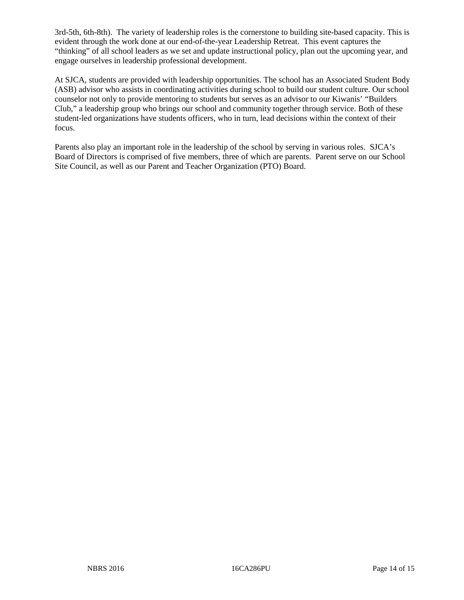3rd-5th, 6th-8th). The variety of leadership roles is the cornerstone to building site-based capacity. This is evident through the work done at our end-of-the-year Leadership Retreat. This event captures the "thinking" of all school leaders as we set and update instructional policy, plan out the upcoming year, and engage ourselves in leadership professional development.

At SJCA, students are provided with leadership opportunities. The school has an Associated Student Body (ASB) advisor who assists in coordinating activities during school to build our student culture. Our school counselor not only to provide mentoring to students but serves as an advisor to our Kiwanis' "Builders Club," a leadership group who brings our school and community together through service. Both of these student-led organizations have students officers, who in turn, lead decisions within the context of their focus.

Parents also play an important role in the leadership of the school by serving in various roles. SJCA's Board of Directors is comprised of five members, three of which are parents. Parent serve on our School Site Council, as well as our Parent and Teacher Organization (PTO) Board.